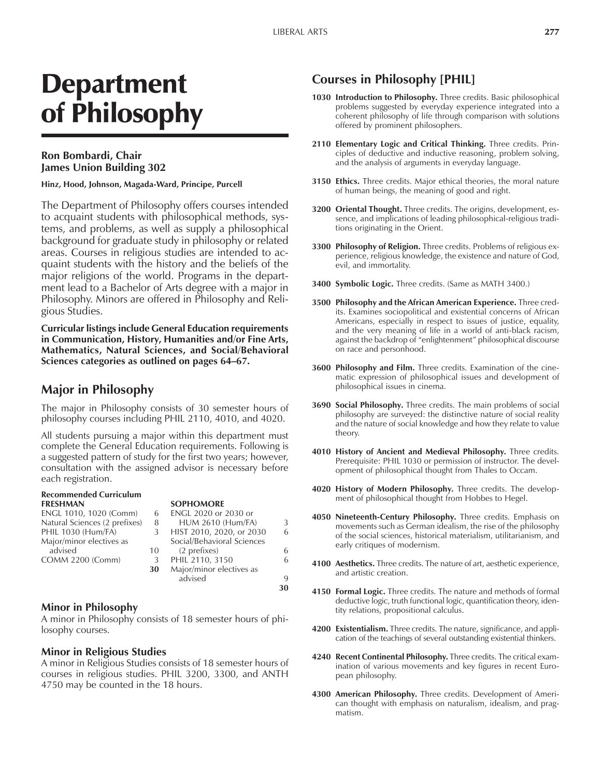**30**

# Department of Philosophy

### **Ron Bombardi, Chair James Union Building 302**

#### **Hinz, Hood, Johnson, Magada-Ward, Principe, Purcell**

The Department of Philosophy offers courses intended to acquaint students with philosophical methods, systems, and problems, as well as supply a philosophical background for graduate study in philosophy or related areas. Courses in religious studies are intended to acquaint students with the history and the beliefs of the major religions of the world. Programs in the department lead to a Bachelor of Arts degree with a major in Philosophy. Minors are offered in Philosophy and Religious Studies.

**Curricular listings include General Education requirements in Communication, History, Humanities and/or Fine Arts, Mathematics, Natural Sciences, and Social/Behavioral** Sciences categories as outlined on pages 64-67.

## **Major in Philosophy**

The major in Philosophy consists of 30 semester hours of philosophy courses including PHIL 2110, 4010, and 4020.

All students pursuing a major within this department must complete the General Education requirements. Following is a suggested pattern of study for the first two years; however, consultation with the assigned advisor is necessary before each registration.

#### **Recommended Curriculum FRESHMAN SOPHOMORE**

| ENGL 1010, 1020 (Comm)        | 6  | ENGL 2020 or 2030 or       |             |
|-------------------------------|----|----------------------------|-------------|
| Natural Sciences (2 prefixes) | 8  | <b>HUM 2610 (Hum/FA)</b>   | 3           |
| PHIL 1030 (Hum/FA)            | 3  | HIST 2010, 2020, or 2030   | 6           |
| Major/minor electives as      |    | Social/Behavioral Sciences |             |
| advised                       | 10 | (2 prefixes)               | 6           |
| <b>COMM 2200 (Comm)</b>       | 3  | PHIL 2110, 3150            | 6           |
|                               | 30 | Major/minor electives as   |             |
|                               |    | advised                    | $\mathbf Q$ |

#### **Minor in Philosophy**

A minor in Philosophy consists of 18 semester hours of philosophy courses.

#### **Minor in Religious Studies**

A minor in Religious Studies consists of 18 semester hours of courses in religious studies. PHIL 3200, 3300, and ANTH 4750 may be counted in the 18 hours.

## **Courses in Philosophy [PHIL]**

- **1030 Introduction to Philosophy.** Three credits. Basic philosophical problems suggested by everyday experience integrated into a coherent philosophy of life through comparison with solutions offered by prominent philosophers.
- **2110 Elementary Logic and Critical Thinking.** Three credits. Principles of deductive and inductive reasoning, problem solving, and the analysis of arguments in everyday language.
- **3150 Ethics.** Three credits. Major ethical theories, the moral nature of human beings, the meaning of good and right.
- **3200 Oriental Thought.** Three credits. The origins, development, essence, and implications of leading philosophical-religious traditions originating in the Orient.
- **3300 Philosophy of Religion.** Three credits. Problems of religious experience, religious knowledge, the existence and nature of God, evil, and immortality.
- **3400 Symbolic Logic.** Three credits. (Same as MATH 3400.)
- **3500 Philosophy and the African American Experience.** Three credits. Examines sociopolitical and existential concerns of African Americans, especially in respect to issues of justice, equality, and the very meaning of life in a world of anti-black racism, against the backdrop of "enlightenment" philosophical discourse on race and personhood.
- **3600 Philosophy and Film.** Three credits. Examination of the cinematic expression of philosophical issues and development of philosophical issues in cinema.
- **3690 Social Philosophy.** Three credits. The main problems of social philosophy are surveyed: the distinctive nature of social reality and the nature of social knowledge and how they relate to value theory.
- **4010 History of Ancient and Medieval Philosophy.** Three credits. Prerequisite: PHIL 1030 or permission of instructor. The development of philosophical thought from Thales to Occam.
- **4020 History of Modern Philosophy.** Three credits. The development of philosophical thought from Hobbes to Hegel.
- **4050 Nineteenth-Century Philosophy.** Three credits. Emphasis on movements such as German idealism, the rise of the philosophy of the social sciences, historical materialism, utilitarianism, and early critiques of modernism.
- **4100 Aesthetics.** Three credits. The nature of art, aesthetic experience, and artistic creation.
- **4150 Formal Logic.** Three credits. The nature and methods of formal deductive logic, truth functional logic, quantification theory, identity relations, propositional calculus.
- **4200 Existentialism.** Three credits. The nature, significance, and application of the teachings of several outstanding existential thinkers.
- **4240 Recent Continental Philosophy.** Three credits. The critical examination of various movements and key figures in recent European philosophy.
- **4300 American Philosophy.** Three credits. Development of American thought with emphasis on naturalism, idealism, and pragmatism.